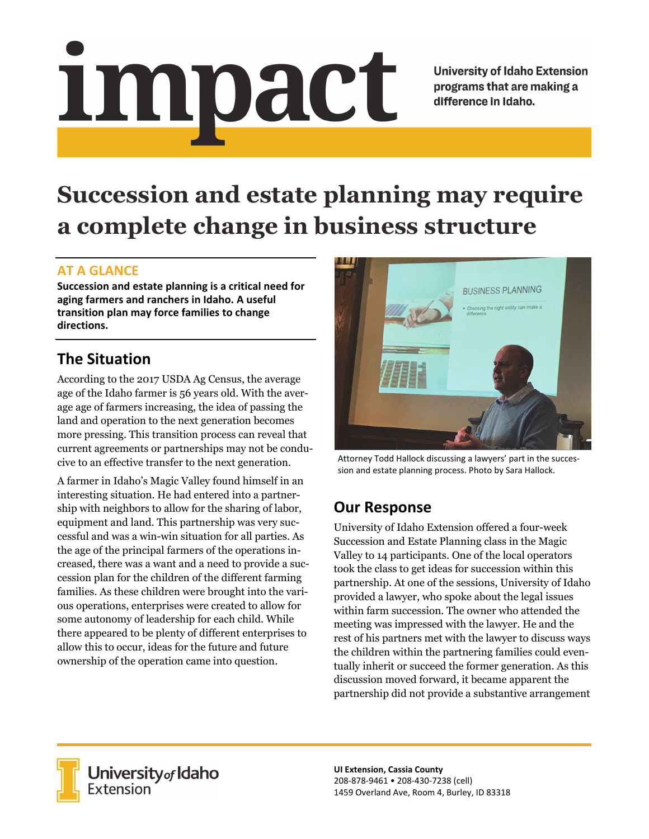# <u>impact</u>

**University of Idaho Extension** programs that are making a difference in Idaho.

# **Succession and estate planning may require a complete change in business structure**

# **AT A GLANCE**

**Succession and estate planning is a critical need for aging farmers and ranchers in Idaho. A useful transition plan may force families to change directions.**

# **The Situation**

According to the 2017 USDA Ag Census, the average age of the Idaho farmer is 56 years old. With the average age of farmers increasing, the idea of passing the land and operation to the next generation becomes more pressing. This transition process can reveal that current agreements or partnerships may not be conducive to an effective transfer to the next generation.

A farmer in Idaho's Magic Valley found himself in an interesting situation. He had entered into a partnership with neighbors to allow for the sharing of labor, equipment and land. This partnership was very successful and was a win-win situation for all parties. As the age of the principal farmers of the operations increased, there was a want and a need to provide a succession plan for the children of the different farming families. As these children were brought into the various operations, enterprises were created to allow for some autonomy of leadership for each child. While there appeared to be plenty of different enterprises to allow this to occur, ideas for the future and future ownership of the operation came into question.



Attorney Todd Hallock discussing a lawyers' part in the succes‐ sion and estate planning process. Photo by Sara Hallock.

# **Our Response**

University of Idaho Extension offered a four-week Succession and Estate Planning class in the Magic Valley to 14 participants. One of the local operators took the class to get ideas for succession within this partnership. At one of the sessions, University of Idaho provided a lawyer, who spoke about the legal issues within farm succession. The owner who attended the meeting was impressed with the lawyer. He and the rest of his partners met with the lawyer to discuss ways the children within the partnering families could eventually inherit or succeed the former generation. As this discussion moved forward, it became apparent the partnership did not provide a substantive arrangement



**University** of Idaho<br>Extension

**UI Extension, Cassia County** 208‐878‐9461 • 208‐430‐7238 (cell) 1459 Overland Ave, Room 4, Burley, ID 83318